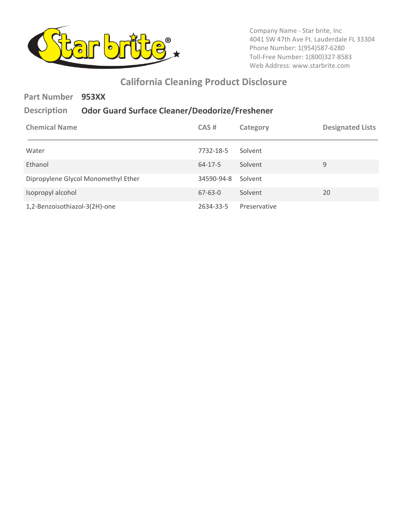

 Company Name - Star brite, Inc 4041 SW 47th Ave Ft. Lauderdale FL 33304 Phone Number: 1(954)587-6280 Toll-Free Number: 1(800)327-8583 Web Address: <www.starbrite.com>

## **California Cleaning Product Disclosure**

| <b>Part Number</b><br><b>Description</b> | 953XX<br><b>Odor Guard Surface Cleaner/Deodorize/Freshener</b> |               |              |                         |
|------------------------------------------|----------------------------------------------------------------|---------------|--------------|-------------------------|
| <b>Chemical Name</b>                     |                                                                | CAS#          | Category     | <b>Designated Lists</b> |
| Water                                    |                                                                | 7732-18-5     | Solvent      |                         |
| Ethanol                                  |                                                                | $64 - 17 - 5$ | Solvent      | 9                       |
| Dipropylene Glycol Monomethyl Ether      |                                                                | 34590-94-8    | Solvent      |                         |
| Isopropyl alcohol                        |                                                                | $67 - 63 - 0$ | Solvent      | 20                      |
| 1,2-Benzoisothiazol-3(2H)-one            |                                                                | 2634-33-5     | Preservative |                         |